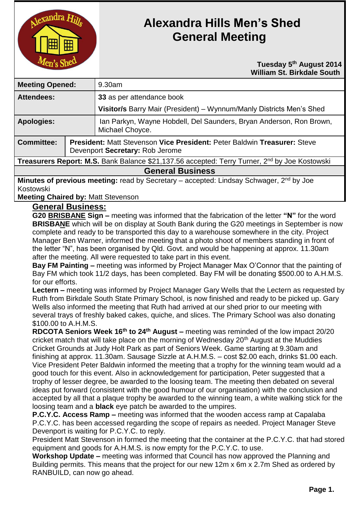

# **Alexandra Hills Men's Shed General Meeting**

#### **Tuesday 5 th August 2014 William St. Birkdale South**

| <b>Meeting Opened:</b>                                                                                    |                                                                                                                    | $9.30$ am                                                                              |
|-----------------------------------------------------------------------------------------------------------|--------------------------------------------------------------------------------------------------------------------|----------------------------------------------------------------------------------------|
| <b>Attendees:</b>                                                                                         |                                                                                                                    | 33 as per attendance book                                                              |
|                                                                                                           |                                                                                                                    | Visitor/s Barry Mair (President) - Wynnum/Manly Districts Men's Shed                   |
| <b>Apologies:</b>                                                                                         |                                                                                                                    | Ian Parkyn, Wayne Hobdell, Del Saunders, Bryan Anderson, Ron Brown,<br>Michael Choyce. |
| <b>Committee:</b>                                                                                         | <b>President: Matt Stevenson Vice President: Peter Baldwin Treasurer: Steve</b><br>Devenport Secretary: Rob Jerome |                                                                                        |
| Treasurers Report: M.S. Bank Balance \$21,137.56 accepted: Terry Turner, 2 <sup>nd</sup> by Joe Kostowski |                                                                                                                    |                                                                                        |
| <b>General Business</b>                                                                                   |                                                                                                                    |                                                                                        |

**Minutes of previous meeting:** read by Secretary – accepted: Lindsay Schwager, 2<sup>nd</sup> by Joe Kostowski

**Meeting Chaired by:** Matt Stevenson

#### **General Business:**

**G20 BRISBANE Sign –** meeting was informed that the fabrication of the letter **"N"** for the word **BRISBANE** which will be on display at South Bank during the G20 meetings in September is now complete and ready to be transported this day to a warehouse somewhere in the city. Project Manager Ben Warner, informed the meeting that a photo shoot of members standing in front of the letter "N", has been organised by Qld. Govt. and would be happening at approx. 11.30am after the meeting. All were requested to take part in this event.

**Bay FM Painting –** meeting was informed by Project Manager Max O'Connor that the painting of Bay FM which took 11/2 days, has been completed. Bay FM will be donating \$500.00 to A.H.M.S. for our efforts.

**Lectern –** meeting was informed by Project Manager Gary Wells that the Lectern as requested by Ruth from Birkdale South State Primary School, is now finished and ready to be picked up. Gary Wells also informed the meeting that Ruth had arrived at our shed prior to our meeting with several trays of freshly baked cakes, quiche, and slices. The Primary School was also donating \$100.00 to A.H.M.S.

**RDCOTA Seniors Week 16th to 24th August –** meeting was reminded of the low impact 20/20 cricket match that will take place on the morning of Wednesday 20<sup>th</sup> August at the Muddies Cricket Grounds at Judy Holt Park as part of Seniors Week. Game starting at 9.30am and finishing at approx. 11.30am. Sausage Sizzle at A.H.M.S. – cost \$2.00 each, drinks \$1.00 each. Vice President Peter Baldwin informed the meeting that a trophy for the winning team would ad a good touch for this event. Also in acknowledgement for participation, Peter suggested that a trophy of lesser degree, be awarded to the loosing team. The meeting then debated on several ideas put forward (consistent with the good humour of our organisation) with the conclusion and accepted by all that a plaque trophy be awarded to the winning team, a white walking stick for the loosing team and a **black** eye patch be awarded to the umpires.

**P.C.Y.C. Access Ramp –** meeting was informed that the wooden access ramp at Capalaba P.C.Y.C. has been accessed regarding the scope of repairs as needed. Project Manager Steve Devenport is waiting for P.C.Y.C. to reply.

President Matt Stevenson in formed the meeting that the container at the P.C.Y.C. that had stored equipment and goods for A.H.M.S. is now empty for the P.C.Y.C. to use.

**Workshop Update –** meeting was informed that Council has now approved the Planning and Building permits. This means that the project for our new 12m x 6m x 2.7m Shed as ordered by RANBUILD, can now go ahead.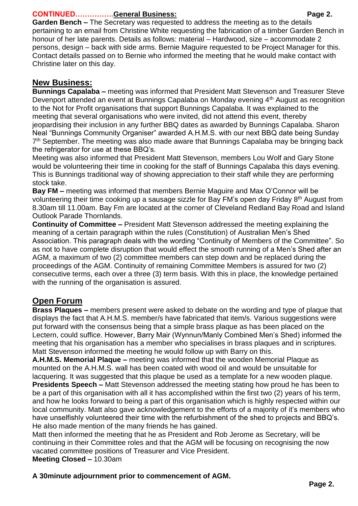#### **CONTINUED…………….General Business: Page 2.**

**Garden Bench –** The Secretary was requested to address the meeting as to the details pertaining to an email from Christine White requesting the fabrication of a timber Garden Bench in honour of her late parents. Details as follows: material – Hardwood, size – accommodate 2 persons, design – back with side arms. Bernie Maguire requested to be Project Manager for this. Contact details passed on to Bernie who informed the meeting that he would make contact with Christine later on this day.

### **New Business:**

**Bunnings Capalaba –** meeting was informed that President Matt Stevenson and Treasurer Steve Devenport attended an event at Bunnings Capalaba on Monday evening 4<sup>th</sup> August as recognition to the Not for Profit organisations that support Bunnings Capalaba. It was explained to the meeting that several organisations who were invited, did not attend this event, thereby jeopardising their inclusion in any further BBQ dates as awarded by Bunnings Capalaba. Sharon Neal "Bunnings Community Organiser" awarded A.H.M.S. with our next BBQ date being Sunday 7<sup>th</sup> September. The meeting was also made aware that Bunnings Capalaba may be bringing back the refrigerator for use at these BBQ's.

Meeting was also informed that President Matt Stevenson, members Lou Wolf and Gary Stone would be volunteering their time in cooking for the staff of Bunnings Capalaba this days evening. This is Bunnings traditional way of showing appreciation to their staff while they are performing stock take.

**Bay FM –** meeting was informed that members Bernie Maguire and Max O'Connor will be volunteering their time cooking up a sausage sizzle for Bay FM's open day Friday 8th August from 8.30am till 11.00am. Bay Fm are located at the corner of Cleveland Redland Bay Road and Island Outlook Parade Thornlands.

**Continuity of Committee –** President Matt Stevenson addressed the meeting explaining the meaning of a certain paragraph within the rules (Constitution) of Australian Men's Shed Association. This paragraph deals with the wording "Continuity of Members of the Committee". So as not to have complete disruption that would effect the smooth running of a Men's Shed after an AGM, a maximum of two (2) committee members can step down and be replaced during the proceedings of the AGM. Continuity of remaining Committee Members is assured for two (2) consecutive terms, each over a three (3) term basis. With this in place, the knowledge pertained with the running of the organisation is assured.

## **Open Forum**

**Brass Plaques –** members present were asked to debate on the wording and type of plaque that displays the fact that A.H.M.S. member/s have fabricated that item/s. Various suggestions were put forward with the consensus being that a simple brass plaque as has been placed on the Lectern, could suffice. However, Barry Mair (Wynnun/Manly Combined Men's Shed) informed the meeting that his organisation has a member who specialises in brass plaques and in scriptures. Matt Stevenson informed the meeting he would follow up with Barry on this.

**A.H.M.S. Memorial Plaque –** meeting was informed that the wooden Memorial Plaque as mounted on the A.H.M.S. wall has been coated with wood oil and would be unsuitable for lacquering. It was suggested that this plaque be used as a template for a new wooden plaque. **Presidents Speech –** Matt Stevenson addressed the meeting stating how proud he has been to be a part of this organisation with all it has accomplished within the first two (2) years of his term, and how he looks forward to being a part of this organisation which is highly respected within our local community. Matt also gave acknowledgement to the efforts of a majority of it's members who have unselfishly volunteered their time with the refurbishment of the shed to projects and BBQ's. He also made mention of the many friends he has gained.

Matt then informed the meeting that he as President and Rob Jerome as Secretary, will be continuing in their Committee roles and that the AGM will be focusing on recognising the now vacated committee positions of Treasurer and Vice President.

**Meeting Closed –** 10.30am

**A 30minute adjournment prior to commencement of AGM.**